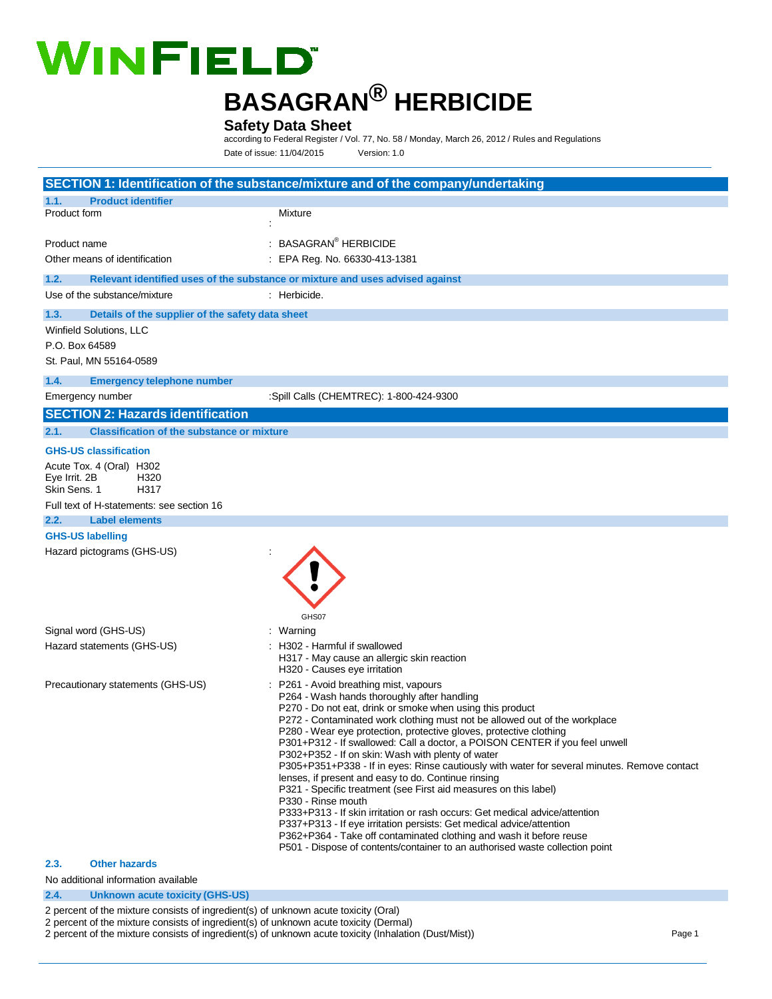# **WINFIELD**

## **BASAGRAN® HERBICIDE**

#### **Safety Data Sheet**

according to Federal Register / Vol. 77, No. 58 / Monday, March 26, 2012 / Rules and Regulations Date of issue: 11/04/2015 Version: 1.0

|                                                                                                                        | SECTION 1: Identification of the substance/mixture and of the company/undertaking                                                                                                                                                                                                                                                                                                                                                                                                                                                                                                                                                                                                                                                                                                                                                                                                                                                                                                                       |
|------------------------------------------------------------------------------------------------------------------------|---------------------------------------------------------------------------------------------------------------------------------------------------------------------------------------------------------------------------------------------------------------------------------------------------------------------------------------------------------------------------------------------------------------------------------------------------------------------------------------------------------------------------------------------------------------------------------------------------------------------------------------------------------------------------------------------------------------------------------------------------------------------------------------------------------------------------------------------------------------------------------------------------------------------------------------------------------------------------------------------------------|
| <b>Product identifier</b><br>1.1.                                                                                      |                                                                                                                                                                                                                                                                                                                                                                                                                                                                                                                                                                                                                                                                                                                                                                                                                                                                                                                                                                                                         |
| Product form                                                                                                           | Mixture                                                                                                                                                                                                                                                                                                                                                                                                                                                                                                                                                                                                                                                                                                                                                                                                                                                                                                                                                                                                 |
| Product name                                                                                                           | : BASAGRAN <sup>®</sup> HERBICIDE                                                                                                                                                                                                                                                                                                                                                                                                                                                                                                                                                                                                                                                                                                                                                                                                                                                                                                                                                                       |
| Other means of identification                                                                                          | : EPA Reg. No. 66330-413-1381                                                                                                                                                                                                                                                                                                                                                                                                                                                                                                                                                                                                                                                                                                                                                                                                                                                                                                                                                                           |
| 1.2.                                                                                                                   | Relevant identified uses of the substance or mixture and uses advised against                                                                                                                                                                                                                                                                                                                                                                                                                                                                                                                                                                                                                                                                                                                                                                                                                                                                                                                           |
| Use of the substance/mixture                                                                                           | : Herbicide.                                                                                                                                                                                                                                                                                                                                                                                                                                                                                                                                                                                                                                                                                                                                                                                                                                                                                                                                                                                            |
| Details of the supplier of the safety data sheet<br>1.3.                                                               |                                                                                                                                                                                                                                                                                                                                                                                                                                                                                                                                                                                                                                                                                                                                                                                                                                                                                                                                                                                                         |
| Winfield Solutions, LLC<br>P.O. Box 64589<br>St. Paul, MN 55164-0589                                                   |                                                                                                                                                                                                                                                                                                                                                                                                                                                                                                                                                                                                                                                                                                                                                                                                                                                                                                                                                                                                         |
| 1.4.<br><b>Emergency telephone number</b>                                                                              |                                                                                                                                                                                                                                                                                                                                                                                                                                                                                                                                                                                                                                                                                                                                                                                                                                                                                                                                                                                                         |
| Emergency number                                                                                                       | :Spill Calls (CHEMTREC): 1-800-424-9300                                                                                                                                                                                                                                                                                                                                                                                                                                                                                                                                                                                                                                                                                                                                                                                                                                                                                                                                                                 |
| <b>SECTION 2: Hazards identification</b>                                                                               |                                                                                                                                                                                                                                                                                                                                                                                                                                                                                                                                                                                                                                                                                                                                                                                                                                                                                                                                                                                                         |
| 2.1.<br><b>Classification of the substance or mixture</b>                                                              |                                                                                                                                                                                                                                                                                                                                                                                                                                                                                                                                                                                                                                                                                                                                                                                                                                                                                                                                                                                                         |
| <b>GHS-US classification</b>                                                                                           |                                                                                                                                                                                                                                                                                                                                                                                                                                                                                                                                                                                                                                                                                                                                                                                                                                                                                                                                                                                                         |
| Acute Tox. 4 (Oral) H302<br>Eye Irrit. 2B<br>H320<br>Skin Sens, 1<br>H317<br>Full text of H-statements: see section 16 |                                                                                                                                                                                                                                                                                                                                                                                                                                                                                                                                                                                                                                                                                                                                                                                                                                                                                                                                                                                                         |
| 2.2.<br><b>Label elements</b><br><b>GHS-US labelling</b>                                                               |                                                                                                                                                                                                                                                                                                                                                                                                                                                                                                                                                                                                                                                                                                                                                                                                                                                                                                                                                                                                         |
| Hazard pictograms (GHS-US)                                                                                             | GHS07                                                                                                                                                                                                                                                                                                                                                                                                                                                                                                                                                                                                                                                                                                                                                                                                                                                                                                                                                                                                   |
| Signal word (GHS-US)                                                                                                   | : Warning                                                                                                                                                                                                                                                                                                                                                                                                                                                                                                                                                                                                                                                                                                                                                                                                                                                                                                                                                                                               |
| Hazard statements (GHS-US)                                                                                             | : H302 - Harmful if swallowed<br>H317 - May cause an allergic skin reaction<br>H320 - Causes eye irritation                                                                                                                                                                                                                                                                                                                                                                                                                                                                                                                                                                                                                                                                                                                                                                                                                                                                                             |
| Precautionary statements (GHS-US)                                                                                      | P261 - Avoid breathing mist, vapours<br>P264 - Wash hands thoroughly after handling<br>P270 - Do not eat, drink or smoke when using this product<br>P272 - Contaminated work clothing must not be allowed out of the workplace<br>P280 - Wear eye protection, protective gloves, protective clothing<br>P301+P312 - If swallowed: Call a doctor, a POISON CENTER if you feel unwell<br>P302+P352 - If on skin: Wash with plenty of water<br>P305+P351+P338 - If in eyes: Rinse cautiously with water for several minutes. Remove contact<br>lenses, if present and easy to do. Continue rinsing<br>P321 - Specific treatment (see First aid measures on this label)<br>P330 - Rinse mouth<br>P333+P313 - If skin irritation or rash occurs: Get medical advice/attention<br>P337+P313 - If eye irritation persists: Get medical advice/attention<br>P362+P364 - Take off contaminated clothing and wash it before reuse<br>P501 - Dispose of contents/container to an authorised waste collection point |
| <b>Other hazards</b><br>2.3.                                                                                           |                                                                                                                                                                                                                                                                                                                                                                                                                                                                                                                                                                                                                                                                                                                                                                                                                                                                                                                                                                                                         |
| No additional information available                                                                                    |                                                                                                                                                                                                                                                                                                                                                                                                                                                                                                                                                                                                                                                                                                                                                                                                                                                                                                                                                                                                         |

#### **2.4. Unknown acute toxicity (GHS-US)**

2 percent of the mixture consists of ingredient(s) of unknown acute toxicity (Oral)

- 2 percent of the mixture consists of ingredient(s) of unknown acute toxicity (Dermal)
- 2 percent of the mixture consists of ingredient(s) of unknown acute toxicity (Inhalation (Dust/Mist)) Page 1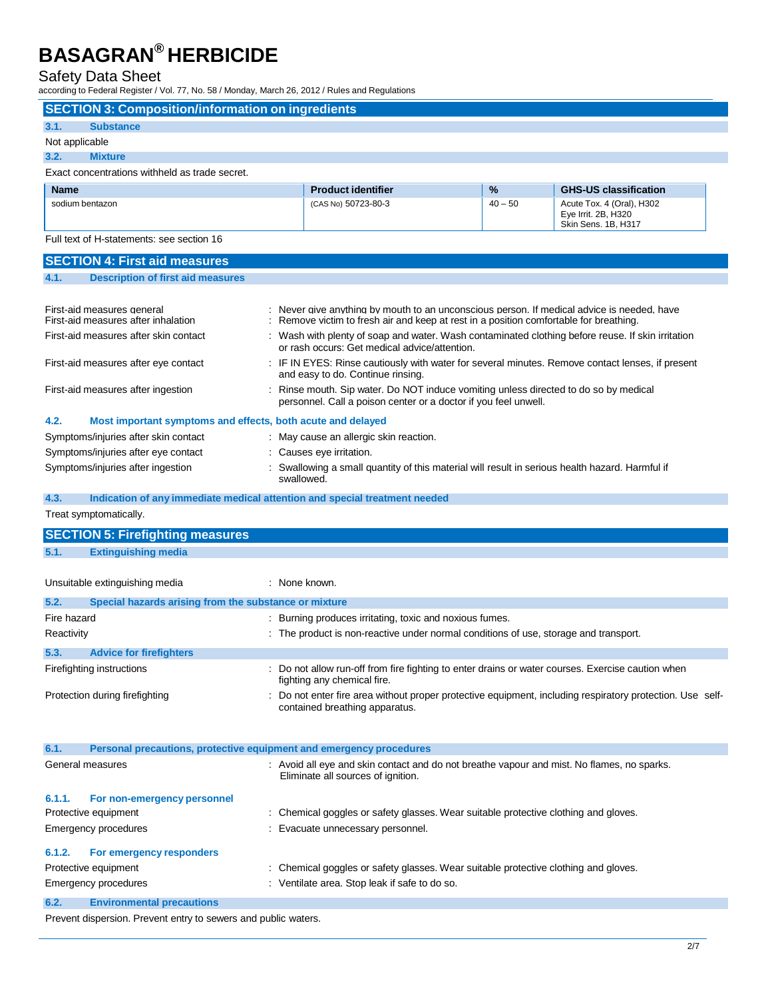## Safety Data Sheet<br>according to Federal Register / V

according to Federal Register / Vol. 77, No. 58 / Monday, March 26, 2012 / Rules and Regulations

| according to Federal Register / Vol. 77, No. 58 / Monday, March 26, 2012 / Rules and Regulations |                                                                                                                                                         |           |                                                                         |  |
|--------------------------------------------------------------------------------------------------|---------------------------------------------------------------------------------------------------------------------------------------------------------|-----------|-------------------------------------------------------------------------|--|
| <b>SECTION 3: Composition/information on ingredients</b>                                         |                                                                                                                                                         |           |                                                                         |  |
| <b>Substance</b><br>3.1.                                                                         |                                                                                                                                                         |           |                                                                         |  |
| Not applicable                                                                                   |                                                                                                                                                         |           |                                                                         |  |
| 3.2.<br><b>Mixture</b>                                                                           |                                                                                                                                                         |           |                                                                         |  |
| Exact concentrations withheld as trade secret.                                                   |                                                                                                                                                         |           |                                                                         |  |
| <b>Name</b>                                                                                      | <b>Product identifier</b>                                                                                                                               | %         | <b>GHS-US classification</b>                                            |  |
| sodium bentazon                                                                                  | (CAS No) 50723-80-3                                                                                                                                     | $40 - 50$ | Acute Tox. 4 (Oral), H302<br>Eye Irrit. 2B, H320<br>Skin Sens. 1B, H317 |  |
| Full text of H-statements: see section 16                                                        |                                                                                                                                                         |           |                                                                         |  |
| <b>SECTION 4: First aid measures</b>                                                             |                                                                                                                                                         |           |                                                                         |  |
| <b>Description of first aid measures</b><br>4.1.                                                 |                                                                                                                                                         |           |                                                                         |  |
|                                                                                                  |                                                                                                                                                         |           |                                                                         |  |
| First-aid measures general                                                                       | Never give anything by mouth to an unconscious person. If medical advice is needed, have                                                                |           |                                                                         |  |
| First-aid measures after inhalation                                                              | Remove victim to fresh air and keep at rest in a position comfortable for breathing.                                                                    |           |                                                                         |  |
| First-aid measures after skin contact                                                            | Wash with plenty of soap and water. Wash contaminated clothing before reuse. If skin irritation<br>or rash occurs: Get medical advice/attention.        |           |                                                                         |  |
| First-aid measures after eye contact                                                             | : IF IN EYES: Rinse cautiously with water for several minutes. Remove contact lenses, if present<br>and easy to do. Continue rinsing.                   |           |                                                                         |  |
| First-aid measures after ingestion                                                               | : Rinse mouth. Sip water. Do NOT induce vomiting unless directed to do so by medical<br>personnel. Call a poison center or a doctor if you feel unwell. |           |                                                                         |  |
| 4.2.<br>Most important symptoms and effects, both acute and delayed                              |                                                                                                                                                         |           |                                                                         |  |
| Symptoms/injuries after skin contact                                                             | : May cause an allergic skin reaction.                                                                                                                  |           |                                                                         |  |
| Symptoms/injuries after eye contact                                                              | : Causes eye irritation.                                                                                                                                |           |                                                                         |  |
| Symptoms/injuries after ingestion                                                                | Swallowing a small quantity of this material will result in serious health hazard. Harmful if<br>swallowed.                                             |           |                                                                         |  |
| Indication of any immediate medical attention and special treatment needed<br>4.3.               |                                                                                                                                                         |           |                                                                         |  |
| Treat symptomatically.                                                                           |                                                                                                                                                         |           |                                                                         |  |
| <b>SECTION 5: Firefighting measures</b>                                                          |                                                                                                                                                         |           |                                                                         |  |
| <b>Extinguishing media</b>                                                                       |                                                                                                                                                         |           |                                                                         |  |
| 5.1.                                                                                             |                                                                                                                                                         |           |                                                                         |  |
| Unsuitable extinguishing media                                                                   | : None known.                                                                                                                                           |           |                                                                         |  |
| 5.2.                                                                                             |                                                                                                                                                         |           |                                                                         |  |
| Special hazards arising from the substance or mixture<br>Fire hazard                             | : Burning produces irritating, toxic and noxious fumes.                                                                                                 |           |                                                                         |  |
| Reactivity                                                                                       | : The product is non-reactive under normal conditions of use, storage and transport.                                                                    |           |                                                                         |  |
|                                                                                                  |                                                                                                                                                         |           |                                                                         |  |
| 5.3.<br><b>Advice for firefighters</b>                                                           |                                                                                                                                                         |           |                                                                         |  |
| Firefighting instructions                                                                        | : Do not allow run-off from fire fighting to enter drains or water courses. Exercise caution when<br>fighting any chemical fire.                        |           |                                                                         |  |
| Protection during firefighting                                                                   | Do not enter fire area without proper protective equipment, including respiratory protection. Use self-<br>contained breathing apparatus.               |           |                                                                         |  |
|                                                                                                  |                                                                                                                                                         |           |                                                                         |  |
| 6.1.<br>Personal precautions, protective equipment and emergency procedures                      |                                                                                                                                                         |           |                                                                         |  |
| General measures                                                                                 |                                                                                                                                                         |           |                                                                         |  |
|                                                                                                  | : Avoid all eye and skin contact and do not breathe vapour and mist. No flames, no sparks.<br>Eliminate all sources of ignition.                        |           |                                                                         |  |
| 6.1.1.<br>For non-emergency personnel                                                            |                                                                                                                                                         |           |                                                                         |  |
| Protective equipment                                                                             | : Chemical goggles or safety glasses. Wear suitable protective clothing and gloves.                                                                     |           |                                                                         |  |
| <b>Emergency procedures</b>                                                                      | Evacuate unnecessary personnel.                                                                                                                         |           |                                                                         |  |
| 6.1.2.<br>For emergency responders                                                               |                                                                                                                                                         |           |                                                                         |  |
|                                                                                                  |                                                                                                                                                         |           |                                                                         |  |
| Protective equipment                                                                             | : Chemical goggles or safety glasses. Wear suitable protective clothing and gloves.                                                                     |           |                                                                         |  |
| <b>Emergency procedures</b>                                                                      | : Ventilate area. Stop leak if safe to do so.                                                                                                           |           |                                                                         |  |
| <b>Environmental precautions</b><br>6.2.                                                         |                                                                                                                                                         |           |                                                                         |  |

Prevent dispersion. Prevent entry to sewers and public waters.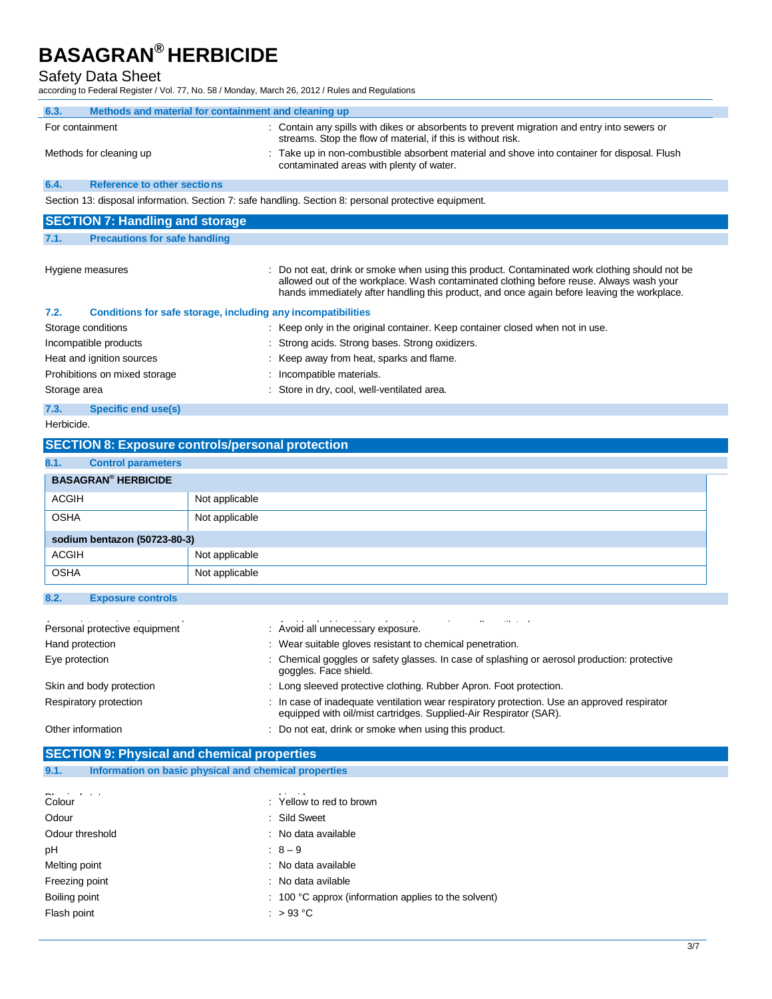Safety Data Sheet

Ĭ.

according to Federal Register / Vol. 77, No. 58 / Monday, March 26, 2012 / Rules and Regulations

| 0001 any to 1 cacial regions / vol. 11, 110. 00 / monaay, march 20, 2012 / rules and regulatio |                |                                                                                                                                                                                                                                                                                        |
|------------------------------------------------------------------------------------------------|----------------|----------------------------------------------------------------------------------------------------------------------------------------------------------------------------------------------------------------------------------------------------------------------------------------|
| Methods and material for containment and cleaning up<br>6.3.                                   |                |                                                                                                                                                                                                                                                                                        |
| For containment                                                                                |                | : Contain any spills with dikes or absorbents to prevent migration and entry into sewers or<br>streams. Stop the flow of material, if this is without risk.                                                                                                                            |
| Methods for cleaning up                                                                        |                | : Take up in non-combustible absorbent material and shove into container for disposal. Flush<br>contaminated areas with plenty of water.                                                                                                                                               |
| 6.4.<br>Reference to other sections                                                            |                |                                                                                                                                                                                                                                                                                        |
|                                                                                                |                | Section 13: disposal information. Section 7: safe handling. Section 8: personal protective equipment.                                                                                                                                                                                  |
| <b>SECTION 7: Handling and storage</b>                                                         |                |                                                                                                                                                                                                                                                                                        |
|                                                                                                |                |                                                                                                                                                                                                                                                                                        |
| <b>Precautions for safe handling</b><br>7.1.                                                   |                |                                                                                                                                                                                                                                                                                        |
| Hygiene measures                                                                               |                | Do not eat, drink or smoke when using this product. Contaminated work clothing should not be<br>allowed out of the workplace. Wash contaminated clothing before reuse. Always wash your<br>hands immediately after handling this product, and once again before leaving the workplace. |
| 7.2.                                                                                           |                | Conditions for safe storage, including any incompatibilities                                                                                                                                                                                                                           |
| Storage conditions                                                                             |                | : Keep only in the original container. Keep container closed when not in use.                                                                                                                                                                                                          |
| Incompatible products                                                                          |                | Strong acids. Strong bases. Strong oxidizers.                                                                                                                                                                                                                                          |
| Heat and ignition sources                                                                      |                | Keep away from heat, sparks and flame.                                                                                                                                                                                                                                                 |
| Prohibitions on mixed storage                                                                  |                | Incompatible materials.                                                                                                                                                                                                                                                                |
| Storage area                                                                                   |                | Store in dry, cool, well-ventilated area.                                                                                                                                                                                                                                              |
| 7.3.<br><b>Specific end use(s)</b>                                                             |                |                                                                                                                                                                                                                                                                                        |
| Herbicide.                                                                                     |                |                                                                                                                                                                                                                                                                                        |
| <b>SECTION 8: Exposure controls/personal protection</b>                                        |                |                                                                                                                                                                                                                                                                                        |
| <b>Control parameters</b><br>8.1.                                                              |                |                                                                                                                                                                                                                                                                                        |
| <b>BASAGRAN<sup>®</sup> HERBICIDE</b>                                                          |                |                                                                                                                                                                                                                                                                                        |
| <b>ACGIH</b>                                                                                   | Not applicable |                                                                                                                                                                                                                                                                                        |
| OSHA                                                                                           | Not applicable |                                                                                                                                                                                                                                                                                        |
|                                                                                                |                |                                                                                                                                                                                                                                                                                        |
| sodium bentazon (50723-80-3)                                                                   |                |                                                                                                                                                                                                                                                                                        |
| ACGIH                                                                                          | Not applicable |                                                                                                                                                                                                                                                                                        |
| OSHA                                                                                           | Not applicable |                                                                                                                                                                                                                                                                                        |
| 8.2.<br><b>Exposure controls</b>                                                               |                |                                                                                                                                                                                                                                                                                        |
|                                                                                                |                |                                                                                                                                                                                                                                                                                        |
| Personal protective equipment                                                                  |                | : Avoid all unnecessary exposure.                                                                                                                                                                                                                                                      |
| Hand protection                                                                                |                | : Wear suitable gloves resistant to chemical penetration.                                                                                                                                                                                                                              |
| Eye protection                                                                                 |                | : Chemical goggles or safety glasses. In case of splashing or aerosol production: protective<br>goggles. Face shield.                                                                                                                                                                  |
| Skin and body protection                                                                       |                | : Long sleeved protective clothing. Rubber Apron. Foot protection.                                                                                                                                                                                                                     |
| Respiratory protection                                                                         |                | : In case of inadequate ventilation wear respiratory protection. Use an approved respirator<br>equipped with oil/mist cartridges. Supplied-Air Respirator (SAR).                                                                                                                       |
| Other information                                                                              |                | : Do not eat, drink or smoke when using this product.                                                                                                                                                                                                                                  |
| <b>SECTION 9: Physical and chemical properties</b>                                             |                |                                                                                                                                                                                                                                                                                        |
| Information on basic physical and chemical properties<br>9.1.                                  |                |                                                                                                                                                                                                                                                                                        |
|                                                                                                |                |                                                                                                                                                                                                                                                                                        |
| Colour                                                                                         |                | : Yellow to red to brown                                                                                                                                                                                                                                                               |
| Odour                                                                                          |                | <b>Sild Sweet</b>                                                                                                                                                                                                                                                                      |
| Odour threshold                                                                                |                | : No data available                                                                                                                                                                                                                                                                    |
| рH                                                                                             |                | $: 8 - 9$                                                                                                                                                                                                                                                                              |

- Freezing point **in the case of the case of the case of the case of the case of the case of the case of the case of the case of the case of the case of the case of the case of the case of the case of the case of the case of**
- Boiling point **EXECUTE:** 100 °C approx (information applies to the solvent)
- Flash point  $\qquad \qquad : \qquad > 93 \text{ °C}$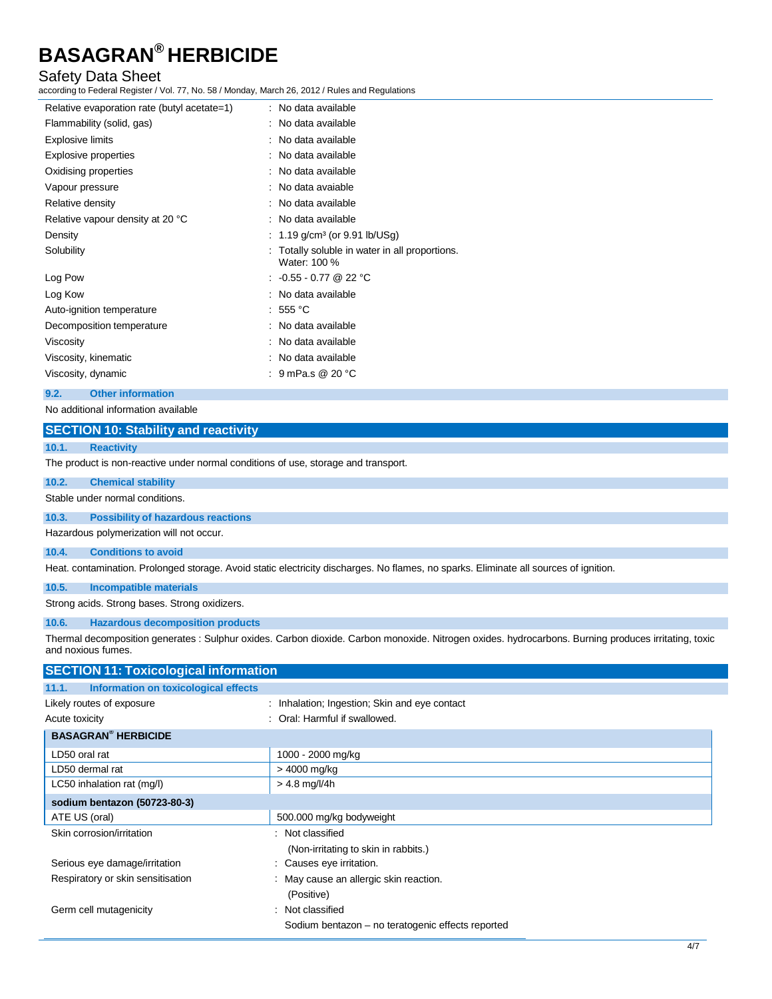#### Safety Data Sheet

according to Federal Register / Vol. 77, No. 58 / Monday, March 26, 2012 / Rules and Regulations

| Relative evaporation rate (butyl acetate=1) | : No data available                                          |
|---------------------------------------------|--------------------------------------------------------------|
| Flammability (solid, gas)                   | : No data available                                          |
| <b>Explosive limits</b>                     | : No data available                                          |
| Explosive properties                        | : No data available                                          |
| Oxidising properties                        | : No data available                                          |
| Vapour pressure                             | : No data avaiable                                           |
| Relative density                            | : No data available                                          |
| Relative vapour density at 20 °C            | : No data available                                          |
| Density                                     | : 1.19 $g/cm^3$ (or 9.91 lb/USg)                             |
| Solubility                                  | Totally soluble in water in all proportions.<br>Water: 100 % |
| Log Pow                                     | : $-0.55 - 0.77$ @ 22 °C                                     |
| Log Kow                                     | : No data available                                          |
| Auto-ignition temperature                   | : 555 °C                                                     |
| Decomposition temperature                   | : No data available                                          |
| Viscosity                                   | : No data available                                          |
| Viscosity, kinematic                        | : No data available                                          |
| Viscosity, dynamic                          | : $9$ mPa.s @ 20 °C                                          |

#### **9.2. Other information**

No additional information available

#### **SECTION 10: Stability and reactivity**

#### **10.1. Reactivity**

The product is non-reactive under normal conditions of use, storage and transport.

#### **10.2. Chemical stability**

Stable under normal conditions.

#### **10.3. Possibility of hazardous reactions**

Hazardous polymerization will not occur.

#### **10.4. Conditions to avoid**

Heat. contamination. Prolonged storage. Avoid static electricity discharges. No flames, no sparks. Eliminate all sources of ignition.

#### **10.5. Incompatible materials**

Strong acids. Strong bases. Strong oxidizers.

**10.6. Hazardous decomposition products**

Thermal decomposition generates : Sulphur oxides. Carbon dioxide. Carbon monoxide. Nitrogen oxides. hydrocarbons. Burning produces irritating, toxic and noxious fumes.

| <b>SECTION 11: Toxicological information</b>  |                                                   |
|-----------------------------------------------|---------------------------------------------------|
| Information on toxicological effects<br>11.1. |                                                   |
| Likely routes of exposure                     | : Inhalation; Ingestion; Skin and eye contact     |
| Acute toxicity                                | : Oral: Harmful if swallowed.                     |
| <b>BASAGRAN<sup>®</sup> HERBICIDE</b>         |                                                   |
| LD50 oral rat                                 | 1000 - 2000 mg/kg                                 |
| LD50 dermal rat                               | > 4000 mg/kg                                      |
| LC50 inhalation rat (mg/l)                    | $> 4.8$ mg/l/4h                                   |
| sodium bentazon (50723-80-3)                  |                                                   |
| ATE US (oral)                                 | 500.000 mg/kg bodyweight                          |
| Skin corrosion/irritation                     | : Not classified                                  |
|                                               | (Non-irritating to skin in rabbits.)              |
| Serious eye damage/irritation                 | : Causes eye irritation.                          |
| Respiratory or skin sensitisation             | : May cause an allergic skin reaction.            |
|                                               | (Positive)                                        |
| Germ cell mutagenicity                        | : Not classified                                  |
|                                               | Sodium bentazon - no teratogenic effects reported |
|                                               |                                                   |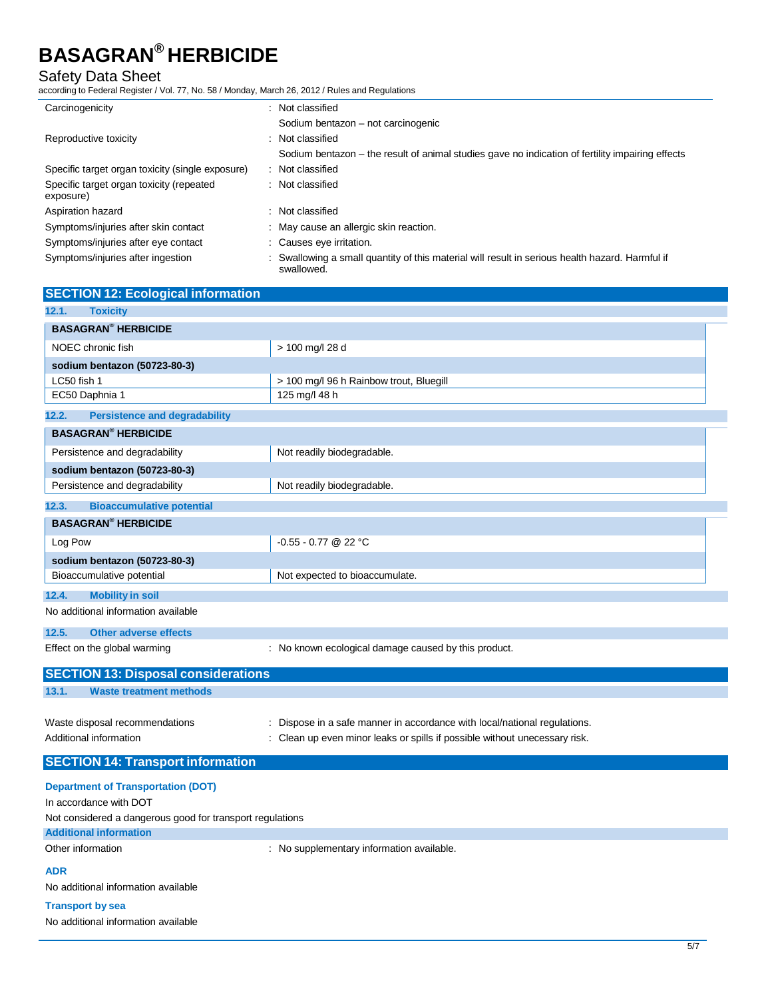### Safety Data Sheet

according to Federal Register / Vol. 77, No. 58 / Monday, March 26, 2012 / Rules and Regulations

| Carcinogenicity                                       | : Not classified                                                                                              |
|-------------------------------------------------------|---------------------------------------------------------------------------------------------------------------|
|                                                       | Sodium bentazon - not carcinogenic                                                                            |
| Reproductive toxicity                                 | : Not classified                                                                                              |
|                                                       | Sodium bentazon – the result of animal studies gave no indication of fertility impairing effects              |
| Specific target organ toxicity (single exposure)      | : Not classified                                                                                              |
| Specific target organ toxicity (repeated<br>exposure) | : Not classified                                                                                              |
| Aspiration hazard                                     | : Not classified                                                                                              |
| Symptoms/injuries after skin contact                  | : May cause an allergic skin reaction.                                                                        |
| Symptoms/injuries after eye contact                   | : Causes eye irritation.                                                                                      |
| Symptoms/injuries after ingestion                     | : Swallowing a small quantity of this material will result in serious health hazard. Harmful if<br>swallowed. |

### **SECTION 12: Ecological information 12.1. Toxicity**

| <b>BASAGRAN<sup>®</sup> HERBICIDE</b>         |                                                                            |
|-----------------------------------------------|----------------------------------------------------------------------------|
| NOEC chronic fish                             | > 100 mg/l 28 d                                                            |
| sodium bentazon (50723-80-3)                  |                                                                            |
| LC50 fish 1                                   | > 100 mg/l 96 h Rainbow trout, Bluegill                                    |
| EC50 Daphnia 1                                | 125 mg/l 48 h                                                              |
| <b>Persistence and degradability</b><br>12.2. |                                                                            |
| <b>BASAGRAN<sup>®</sup> HERBICIDE</b>         |                                                                            |
| Persistence and degradability                 | Not readily biodegradable.                                                 |
| sodium bentazon (50723-80-3)                  |                                                                            |
| Persistence and degradability                 | Not readily biodegradable.                                                 |
| 12.3.<br><b>Bioaccumulative potential</b>     |                                                                            |
| <b>BASAGRAN<sup>®</sup> HERBICIDE</b>         |                                                                            |
| Log Pow                                       | $-0.55 - 0.77$ @ 22 °C                                                     |
| sodium bentazon (50723-80-3)                  |                                                                            |
| Bioaccumulative potential                     | Not expected to bioaccumulate.                                             |
| <b>Mobility in soil</b><br>12.4.              |                                                                            |
| No additional information available           |                                                                            |
| Other adverse effects<br>12.5.                |                                                                            |
| Effect on the global warming                  | : No known ecological damage caused by this product.                       |
| <b>SECTION 13: Disposal considerations</b>    |                                                                            |
| 13.1.<br><b>Waste treatment methods</b>       |                                                                            |
|                                               |                                                                            |
| Waste disposal recommendations                | Dispose in a safe manner in accordance with local/national regulations.    |
| Additional information                        | : Clean up even minor leaks or spills if possible without unecessary risk. |

### **SECTION 14: Transport information**

**Department of Transportation (DOT)** In accordance with DOT Not considered a dangerous good for transport regulations **Additional information** Other information **COLOGY CONTERNATION** : No supplementary information available. **ADR** No additional information available

### **Transport by sea**

No additional information available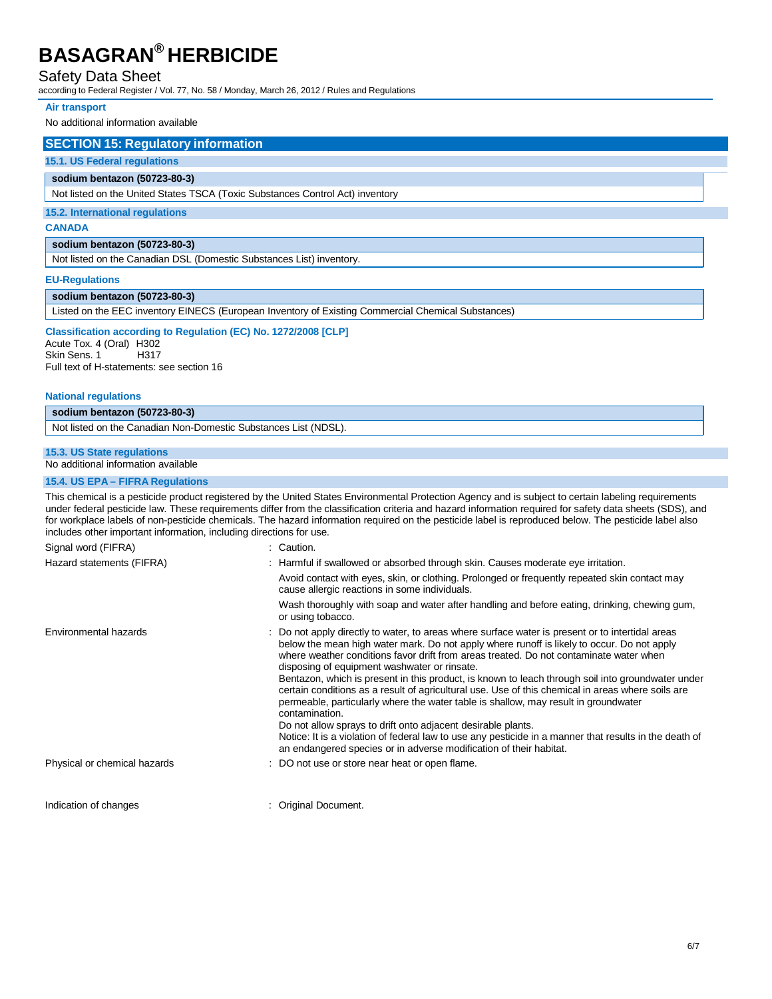#### Safety Data Sheet

according to Federal Register / Vol. 77, No. 58 / Monday, March 26, 2012 / Rules and Regulations

#### **Air transport**

No additional information available

#### **SECTION 15: Regulatory information**

#### **15.1. US Federal regulations**

#### **sodium bentazon (50723-80-3)**

Not listed on the United States TSCA (Toxic Substances Control Act) inventory

#### **15.2. International regulations**

#### **CANADA**

#### **sodium bentazon (50723-80-3)**

Not listed on the Canadian DSL (Domestic Substances List) inventory.

#### **EU-Regulations**

#### **sodium bentazon (50723-80-3)**

Listed on the EEC inventory EINECS (European Inventory of Existing Commercial Chemical Substances)

### **Classification according to Regulation (EC) No. 1272/2008 [CLP]**

Acute Tox. 4 (Oral) H302<br>Skin Sens. 1 H317 Skin Sens. 1 Full text of H-statements: see section 16

#### **National regulations**

**sodium bentazon (50723-80-3)** Not listed on the Canadian Non-Domestic Substances List (NDSL).

#### **15.3. US State regulations**

No additional information available

#### **15.4. US EPA – FIFRA Regulations**

Signal word (FIFRA) : Caution. This chemical is a pesticide product registered by the United States Environmental Protection Agency and is subject to certain labeling requirements under federal pesticide law. These requirements differ from the classification criteria and hazard information required for safety data sheets (SDS), and for workplace labels of non-pesticide chemicals. The hazard information required on the pesticide label is reproduced below. The pesticide label also includes other important information, including directions for use.

| : Harmful if swallowed or absorbed through skin. Causes moderate eye irritation.                                                                                                                                                                                                                                                                                                                                                                                                                                                                                                                                                                                                                                                                                                                                                                                                                            |
|-------------------------------------------------------------------------------------------------------------------------------------------------------------------------------------------------------------------------------------------------------------------------------------------------------------------------------------------------------------------------------------------------------------------------------------------------------------------------------------------------------------------------------------------------------------------------------------------------------------------------------------------------------------------------------------------------------------------------------------------------------------------------------------------------------------------------------------------------------------------------------------------------------------|
| Avoid contact with eyes, skin, or clothing. Prolonged or frequently repeated skin contact may<br>cause allergic reactions in some individuals.                                                                                                                                                                                                                                                                                                                                                                                                                                                                                                                                                                                                                                                                                                                                                              |
| Wash thoroughly with soap and water after handling and before eating, drinking, chewing gum,<br>or using tobacco.                                                                                                                                                                                                                                                                                                                                                                                                                                                                                                                                                                                                                                                                                                                                                                                           |
| : Do not apply directly to water, to areas where surface water is present or to intertidal areas<br>below the mean high water mark. Do not apply where runoff is likely to occur. Do not apply<br>where weather conditions favor drift from areas treated. Do not contaminate water when<br>disposing of equipment washwater or rinsate.<br>Bentazon, which is present in this product, is known to leach through soil into groundwater under<br>certain conditions as a result of agricultural use. Use of this chemical in areas where soils are<br>permeable, particularly where the water table is shallow, may result in groundwater<br>contamination.<br>Do not allow sprays to drift onto adjacent desirable plants.<br>Notice: It is a violation of federal law to use any pesticide in a manner that results in the death of<br>an endangered species or in adverse modification of their habitat. |
| : DO not use or store near heat or open flame.                                                                                                                                                                                                                                                                                                                                                                                                                                                                                                                                                                                                                                                                                                                                                                                                                                                              |
|                                                                                                                                                                                                                                                                                                                                                                                                                                                                                                                                                                                                                                                                                                                                                                                                                                                                                                             |
|                                                                                                                                                                                                                                                                                                                                                                                                                                                                                                                                                                                                                                                                                                                                                                                                                                                                                                             |

Indication of changes **indication** of changes **indication c**  $\blacksquare$   $\blacksquare$   $\blacksquare$   $\blacksquare$   $\blacksquare$   $\blacksquare$   $\blacksquare$   $\blacksquare$   $\blacksquare$   $\blacksquare$   $\blacksquare$   $\blacksquare$   $\blacksquare$   $\blacksquare$   $\blacksquare$   $\blacksquare$   $\blacksquare$   $\blacksquare$   $\blacksquare$   $\blacksquare$   $\blacksquare$   $\blacksquare$   $\blacksquare$